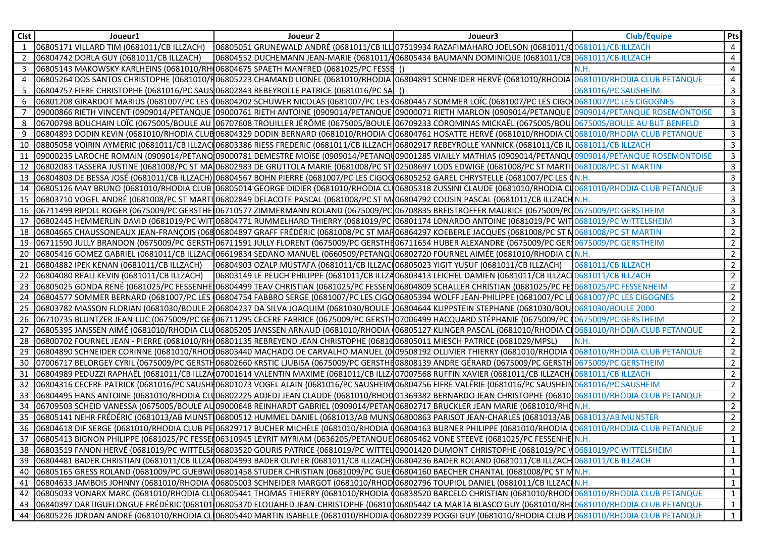| <b>Clst</b> | Joueur1                                                                                                                    | Joueur 2                                                                            | Joueur3                                                                                                                                                                              | Club/Equipe         | Pts            |
|-------------|----------------------------------------------------------------------------------------------------------------------------|-------------------------------------------------------------------------------------|--------------------------------------------------------------------------------------------------------------------------------------------------------------------------------------|---------------------|----------------|
| 1           | 06805171 VILLARD TIM (0681011/CB ILLZACH)                                                                                  |                                                                                     | 06805051 GRUNEWALD ANDRÉ (0681011/CB ILLO7519934 RAZAFIMAHARO JOELSON (0681011/C0681011/CB ILLZACH                                                                                   |                     | 4              |
|             | 06804742 DORLA GUY (0681011/CB ILLZACH)                                                                                    |                                                                                     | 06804552 DUCHEMANN JEAN-MARIE (0681011/ 06805434 BAUMANN DOMINIQUE (0681011/CB 0681011/CB ILLZACH                                                                                    |                     | $\overline{4}$ |
| 3           | 06805143 MAKOWSKY KARLHEINS (0681010/RH 06804675 SPAETH MANFRED (0681025/PC FESSE                                          |                                                                                     |                                                                                                                                                                                      | N.H.                | $\overline{4}$ |
|             |                                                                                                                            |                                                                                     | 06805264 DOS SANTOS CHRISTOPHE (0681010/R06805223 CHAMAND LIONEL (0681010/RHODIA 06804891 SCHNEIDER HERVÉ (0681010/RHODIA 0681010/RHODIA CLUB PETANQUE                               |                     | $\overline{4}$ |
|             | 06804757 FIFRE CHRISTOPHE (0681016/PC SAUS 06802843 REBEYROLLE PATRICE (0681016/PC SA                                      |                                                                                     |                                                                                                                                                                                      | 0681016/PC SAUSHEIM | $\mathbf{3}$   |
|             |                                                                                                                            |                                                                                     | 06801208 GIRARDOT MARIUS (0681007/PC LES 006804202 SCHUWER NICOLAS (0681007/PC LES 006804457 SOMMER LOÏC (0681007/PC LES CIGO 0681007/PC LES CIGO 0681007/PC LES CIGOGNES            |                     | $\mathbf{3}$   |
|             |                                                                                                                            |                                                                                     | 09000866 RIETH VINCENT (0909014/PETANQUE 09000761 RIETH ANTOINE (0909014/PETANQUE 09000071 RIETH MARLON (0909014/PETANQUE 0909014/PETANQUE ROSEMONTOISE                              |                     | $\overline{3}$ |
|             |                                                                                                                            |                                                                                     | 06700798 BOUCHAIN LOÏC (0675005/BOULE AU 06707608 TROUILLER JÉRÔME (0675005/BOULE 06709233 COROMINAS MICKAËL (0675005/BOUI 0675005/BOUIE AU BUT BENFELD                              |                     | $\overline{3}$ |
|             |                                                                                                                            |                                                                                     | 06804893 DODIN KEVIN (0681010/RHODIA CLUBO6804329 DODIN BERNARD (0681010/RHODIA C 06804761 HOSATTE HERVÉ (0681010/RHODIA CLO681010/RHODIA CLUB PETANQUE                              |                     | $\overline{3}$ |
| 10          |                                                                                                                            |                                                                                     | 08805058 VOIRIN AYMERIC (0681011/CB ILLZACI06803386 RIESS FREDERIC (0681011/CB ILLZACH 06802917 REBEYROLLE YANNICK (0681011/CB IL 0681011/CB ILLZACH                                 |                     | $\mathbf{3}$   |
| 11          |                                                                                                                            |                                                                                     | 09000235 LAROCHE ROMAIN (0909014/PETANQ 09000781 DEMESTRE MOÏSE (0909014/PETANQ 09001285 VIAILLY MATHIAS (0909014/PETANQU 0909014/PETANQUE ROSEMONTOISE                              |                     | $\mathbf{3}$   |
| 12          |                                                                                                                            |                                                                                     | 06802083 TASSERA JUSTINE (0681008/PC ST MA 06802983 DE GRUTTOLA MARIE (0681008/PC ST 02508697 LODS EDWIGE (0681008/PC ST MARTII 0681008/PC ST MARTII                                 |                     | $\overline{3}$ |
| 13          |                                                                                                                            |                                                                                     | 06804803 DE BESSA JOSÉ (0681011/CB ILLZACH) 06804567 BOHN PIERRE (0681007/PC LES CIGOG06805252 GAREL CHRYSTELLE (0681007/PC LES CN.H.                                                |                     | $\mathbf{3}$   |
| 14          |                                                                                                                            |                                                                                     | 06805126 MAY BRUNO (0681010/RHODIA CLUB 06805014 GEORGE DIDIER (0681010/RHODIA CL 06805318 ZUSSINI CLAUDE (0681010/RHODIA CL 0681010/RHODIA CLUB PETANQUE                            |                     | $\overline{3}$ |
| 15          |                                                                                                                            |                                                                                     | 06803710 VOGEL ANDRÉ (0681008/PC ST MARTI 06802849 DELACOTE PASCAL (0681008/PC ST M/06804792 COUSIN PASCAL (0681011/CB ILLZACH N.H.                                                  |                     | $\mathbf{3}$   |
| 16          |                                                                                                                            |                                                                                     | 06711499 RIPOLL ROGER (0675009/PC GERSTHE 06710577 ZIMMERMANN ROLAND (0675009/PC 06708835 BREISTROFFER MAURICE (0675009/PC 0675009/PC GERSTHEIM                                      |                     | 3              |
| 17          |                                                                                                                            |                                                                                     | 06802445 HEMMERLIN DAVID (0681019/PC WIT 06804771 RUMMELHARD THIERRY (0681019/PC 06801174 LONARDO ANTOINE (0681019/PC WIT 0681019/PC WITTELSHEIM                                     |                     | $\mathbf{3}$   |
| 18          |                                                                                                                            |                                                                                     | 06804665 CHAUSSONEAUX JEAN-FRANÇOIS (06806804897 GRAFF FRÉDÉRIC (0681008/PC ST MAR06864297 KOEBERLE JACQUES (0681008/PC ST N0681008/PC ST MARTIN                                     |                     | $\overline{2}$ |
| 19          |                                                                                                                            |                                                                                     | 06711590 JULLY BRANDON (0675009/PC GERSTH06711591 JULLY FLORENT (0675009/PC GERSTHH06711654 HUBER ALEXANDRE (0675009/PC GER 0675009/PC GERSTHEIM                                     |                     | $\overline{2}$ |
| 20          |                                                                                                                            |                                                                                     | 06805416 GOMEZ GABRIEL (0681011/CB ILLZACH06619834 SEDANO MANUEL (0660509/PETANQU06802720 FOURNEL AIMÉE (0681010/RHODIA CLN.H.                                                       |                     | $\overline{2}$ |
| 21          | 06804882 IPEK KENAN (0681011/CB ILLZACH)                                                                                   | 06804903 OZALP MUSTAFA (0681011/CB ILLZAC 06805023 YIGIT YUSUF (0681011/CB ILLZACH) |                                                                                                                                                                                      | 0681011/CB ILLZACH  | 2              |
| 22          | 06804080 REALI KEVIN (0681011/CB ILLZACH)                                                                                  |                                                                                     | 06803149 LE PEUCH PHILIPPE (0681011/CB ILLZA06803413 LEICHEL DAMIEN (0681011/CB ILLZACI0681011/CB ILLZACH                                                                            |                     | 2              |
| 23          |                                                                                                                            |                                                                                     | 06805025 GONDA RENÉ (0681025/PC FESSENHE 06804499 TEAV CHRISTIAN (0681025/PC FESSEN 06804809 SCHALLER CHRISTIAN (0681025/PC FE10681025/PC FESSENHEIM                                 |                     | 2              |
| 24          |                                                                                                                            |                                                                                     | 06804577 SOMMER BERNARD (0681007/PC LES (06804754 FABBRO SERGE (0681007/PC LES CIGO06805394 WOLFF JEAN-PHILIPPE (0681007/PC LE0681007/PC LES CIGOGNES                                |                     | 2              |
| 25          |                                                                                                                            |                                                                                     | 06803782 MASSON FLORIAN (0681030/BOULE 2006804237 DA SILVA JOAQUIM (0681030/BOULE 106804644 KLIPPSTEIN STEPHANE (0681030/BOUL0681030/BOULE 2000                                      |                     | $\overline{2}$ |
| 26          |                                                                                                                            |                                                                                     | 06710735 BLUNTZER JEAN-LUC (0675009/PC GEI 06711295 CECERE FABRICE (0675009/PC GERSTH07006499 HACQUARD STÉPHANIE (0675009/PC 0675009/PC GERSTHEIM                                    |                     | 2              |
| 27          |                                                                                                                            |                                                                                     | 06805395 JANSSEN AIMÉ (0681010/RHODIA CLUO6805205 JANSSEN ARNAUD (0681010/RHODIA (06805127 KLINGER PASCAL (0681010/RHODIA CLO681010/RHODIA CLUB PETANQUE                             |                     | $\overline{2}$ |
| 28          | 06800702 FOURNEL JEAN - PIERRE (0681010/RH 06801135 REBREYEND JEAN CHRISTOPHE (0681006805011 MIESCH PATRICE (0681029/MPSL) |                                                                                     |                                                                                                                                                                                      | <b>N.H.</b>         | $\overline{2}$ |
| 29          |                                                                                                                            |                                                                                     | 06804890 SCHNEIDER CORINNE (0681010/RHODO6803440 MACHADO DE CARVALHO MANUEL (009508192 OLLIVIER THIERRY (0681010/RHODIA 00681010/RHODIA CLUB PETANQUE                                |                     | $\overline{2}$ |
| 30          |                                                                                                                            |                                                                                     | 07006717 BELORGEY CYRIL (0675009/PC GERSTH06802660 KRSTIC LJUBISA (0675009/PC GERSTHH08808139 ANDRE GÉRARD (0675009/PC GERSTH0675009/PC GERSTHEIM                                    |                     | $\overline{2}$ |
| 31          |                                                                                                                            |                                                                                     | 06804989 PEDUZZI RAPHAËL (0681011/CB ILLZA(07001614 VALENTIN MAXIME (0681011/CB ILLZ407007568 RUFFIN XAVIER (0681011/CB ILLZACH) 0681011/CB ILLZACH                                  |                     | $\overline{2}$ |
| 32          |                                                                                                                            |                                                                                     | 06804316 CECERE PATRICK (0681016/PC SAUSHE06801073 VOGEL ALAIN (0681016/PC SAUSHEIM 06804756 FIFRE VALÉRIE (0681016/PC SAUSHEIN 0681016/PC SAUSHEIN                                  |                     | 2              |
| 33          |                                                                                                                            |                                                                                     | 06804495 HANS ANTOINE (0681010/RHODIA CLU06802225 ADJEDJ JEAN CLAUDE (0681010/RHOD01369382 BERNARDO JEAN CHRISTOPHE (0681010681010/RHODIA CLUB PETANQUE                              |                     | 2              |
| 34          |                                                                                                                            |                                                                                     | .06709503 SCHEID VANESSA (0675005/BOULE AU09000648 REINHARDT GABRIEL (0909014/PETAN06802717 BRUCKLER JEAN MARIE (0681010/RHON.H                                                      |                     | $\overline{2}$ |
| 35          |                                                                                                                            |                                                                                     | 06805141 NEHR FRÉDÉRIC (0681013/AB MUNSTI06800512 HUMMEL DANIEL (0681013/AB MUNS06800863 PARISOT JEAN-CHARLES (0681013/AB 0681013/AB MUNSTER                                         |                     | $\overline{2}$ |
| 36          |                                                                                                                            |                                                                                     | 06804618 DIF SERGE (0681010/RHODIA CLUB PE 06829717 BUCHER MICHÈLE (0681010/RHODIA (06804163 BURNER PHILIPPE (0681010/RHODIA (0681010/RHODIA CLUB PETANQUE                           |                     | 2              |
| 37          |                                                                                                                            |                                                                                     | 06805413 BIGNON PHILIPPE (0681025/PC FESSEI06310945 LEYRIT MYRIAM (0636205/PETANQUE 06805462 VONE STEEVE (0681025/PC FESSENHE N.H.                                                   |                     | 1              |
| 38          |                                                                                                                            |                                                                                     | 06803519 FANON HERVÉ (0681019/PC WITTELSH06803520 GOURIS PATRICE (0681019/PC WITTEL09001420 DUMONT CHRISTOPHE (0681019/PC V0681019/PC WITTELSHEIM                                    |                     | 1              |
| 39          |                                                                                                                            |                                                                                     | 06804481 BADER CHRISTIAN (0681011/CB ILLZA(06804993 BADER OLIVIER (0681011/CB ILLZACH) 06804236 BADER ROLAND (0681011/CB ILLZACH 0681011/CB ILLZACH 0681011/CB ILLZACH               |                     | $\mathbf{1}$   |
| 40          |                                                                                                                            |                                                                                     | 06805165 GRESS ROLAND (0681009/PC GUEBWI 06801458 STUDER CHRISTIAN (0681009/PC GUE 06804160 BAECHER CHANTAL (0681008/PC ST M N.H.                                                    |                     | $\mathbf{1}$   |
| 41          |                                                                                                                            |                                                                                     | O6804633 JAMBOIS JOHNNY (0681010/RHODIA (06805003 SCHNEIDER MARGOT (0681010/RHODO06802796 TOUPIOL DANIEL (0681011/CB ILLZACHN.H.                                                     |                     | $\mathbf{1}$   |
| 42          |                                                                                                                            |                                                                                     | 06805033 VONARX MARC (0681010/RHODIA CLU06805441 THOMAS THIERRY (0681010/RHODIA (06838520 BARCELO CHRISTIAN (0681010/RHODI 0681010/RHODIA CLUB PETANQUE                              |                     | $\mathbf{1}$   |
|             |                                                                                                                            |                                                                                     | 43  06840397 DARTIGUELONGUE FRÉDÉRIC (06810106805370 ELOUAHED JEAN-CHRISTOPHE (06810106805442 LA MARTA BLASCO GUY (0681010/RHOO681010/RHODIA CLUB PETANQUE                           |                     | $\mathbf{1}$   |
|             |                                                                                                                            |                                                                                     | 44   06805226 JORDAN ANDRÉ (0681010/RHODIA CLIO6805440 MARTIN ISABELLE (0681010/RHODIA Q06802239 POGGI GUY (0681010/RHODIA CLUB P 0681010/RHODIA CLUB P 0681010/RHODIA CLUB PETANQUE |                     | $\overline{1}$ |